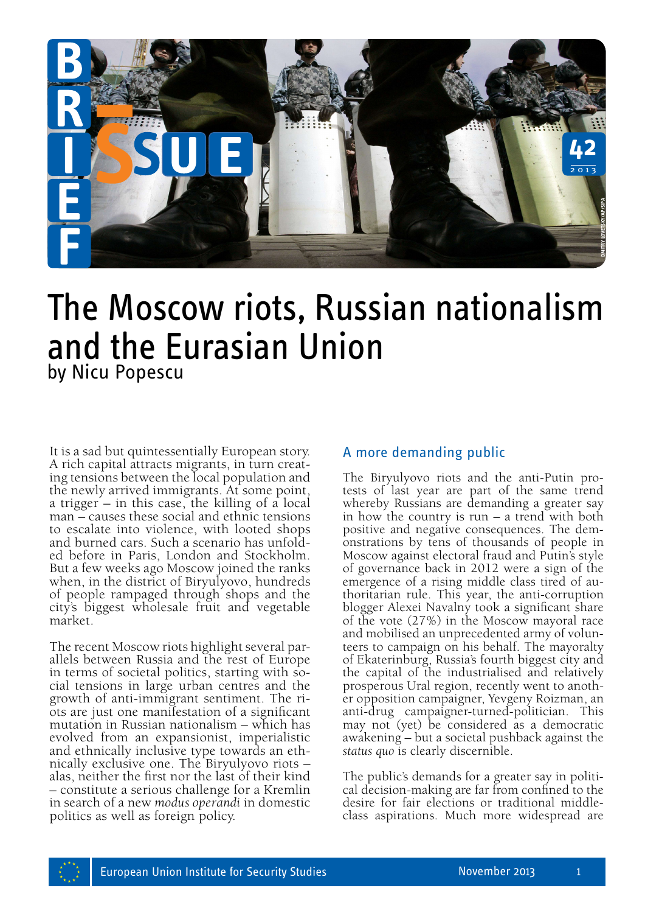

# The Moscow riots, Russian nationalism and the Eurasian Union by Nicu Popescu

It is a sad but quintessentially European story.<br>A rich capital attracts migrants, in turn creating tensions between the local population and the newly arrived immigrants. At some point, a trigger – in this case, the killing of a local man – causes these social and ethnic tensions to escalate into violence, with looted shops<br>and burned cars. Such a scenario has unfolded before in Paris, London and Stockholm. But a few weeks ago Moscow joined the ranks when, in the district of Biryulyovo, hundreds of people rampaged through shops and the city's biggest wholesale fruit and vegetable market.

The recent Moscow riots highlight several par-<br>allels between Russia and the rest of Europe<br>in terms of societal politics, starting with social tensions in large urban centres and the growth of anti-immigrant sentiment. The ri- ots are just one manifestation of a significant mutation in Russian nationalism – which has evolved from an expansionist, imperialistic and ethnically inclusive type towards an eth- nically exclusive one. The Biryulyovo riots – alas, neither the first nor the last of their kind – constitute a serious challenge for a Kremlin in search of a new *modus operandi* in domestic politics as well as foreign policy.

# A more demanding public

The Biryulyovo riots and the anti-Putin protests of last year are part of the same trend whereby Russians are demanding a greater say in how the country is run – a trend with both positive and negative consequences. The dem- onstrations by tens of thousands of people in Moscow against electoral fraud and Putin's style of governance back in 2012 were a sign of the thoritarian rule. This year, the anti-corruption blogger Alexei Navalny took a significant share of the vote (27%) in the Moscow mayoral race and mobilised an unprecedented army of volun- teers to campaign on his behalf. The mayoralty of Ekaterinburg, Russia's fourth biggest city and the capital of the industrialised and relatively er opposition campaigner, Yevgeny Roizman, an anti-drug campaigner-turned-politician. This may not (yet) be considered as a democratic awakening – but a societal pushback against the *status quo* is clearly discernible. **Example 18 as a more of the control of the state are the state of last year are part of the same trend whereby Russians are demanding a greater say there is now the country is run – a trend with both positive and negative** 

The public's demands for a greater say in political decision-making are far from confined to the desire for fair elections or traditional middle-<br>class aspirations. Much more widespread are

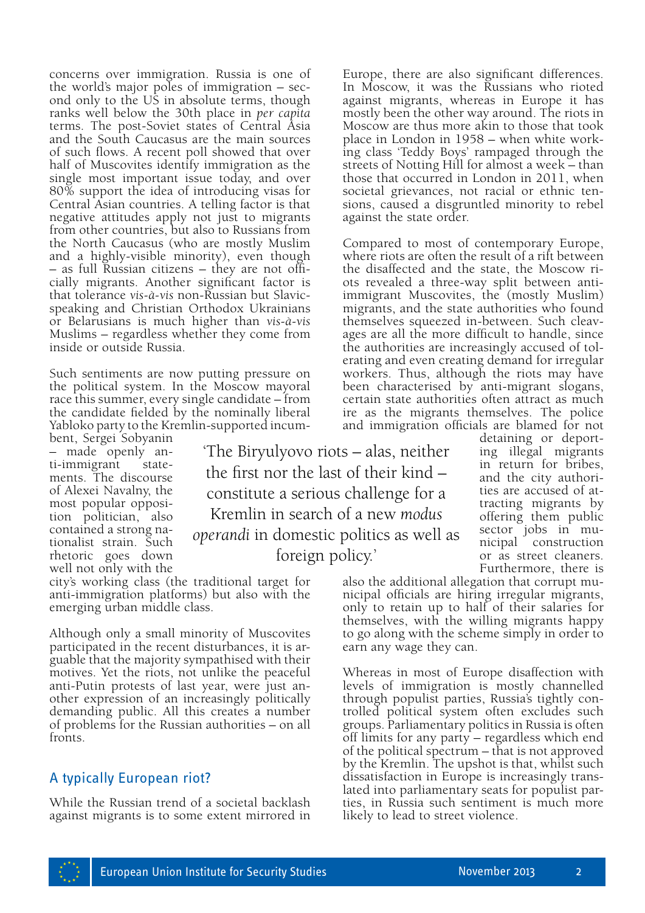concerns over immigration. Russia is one of the world's major poles of immigration – sec- ond only to the US in absolute terms, though ranks well below the 30th place in *per capita* terms. The post-Soviet states of Central Asia and the South Caucasus are the main sources of such flows. A recent poll showed that over half of Muscovites identify immigration as the single most important issue today, and over 80% support the idea of introducing visas for Central Asian countries. A telling factor is that negative attitudes apply not just to migrants from other countries, but also to Russians from the North Caucasus (who are mostly Muslim and a highly-visible minority), even though – as full Russian citizens – they are not officially migrants. Another significant factor is that tolerance *vis-à-vis* non-Russian but Slavicspeaking and Christian Orthodox Ukrainians or Belarusians is much higher than *vis-à-vis*  Muslims – regardless whether they come from inside or outside Russia.

Such sentiments are now putting pressure on the political system. In the Moscow mayoral race this summer, every single candidate – from the candidate fielded by the nominally liberal Yabloko party to the Kremlin-supported incum-

bent, Sergei Sobyanin – made openly anti-immigrant statements. The discourse of Alexei Navalny, the most popular opposition politician, also contained a strong nationalist strain. Such rhetoric goes down well not only with the

'The Biryulyovo riots – alas, neither the first nor the last of their kind – constitute a serious challenge for a Kremlin in search of a new *modus operandi* in domestic politics as well as foreign policy.'

city's working class (the traditional target for anti-immigration platforms) but also with the emerging urban middle class.

Although only a small minority of Muscovites participated in the recent disturbances, it is arguable that the majority sympathised with their motives. Yet the riots, not unlike the peaceful anti-Putin protests of last year, were just another expression of an increasingly politically demanding public. All this creates a number of problems for the Russian authorities – on all fronts.

### A typically European riot?

While the Russian trend of a societal backlash against migrants is to some extent mirrored in

Europe, there are also significant differences. In Moscow, it was the Russians who rioted against migrants, whereas in Europe it has mostly been the other way around. The riots in Moscow are thus more akin to those that took place in London in 1958 – when white working class 'Teddy Boys' rampaged through the streets of Notting Hill for almost a week – than those that occurred in London in 2011, when societal grievances, not racial or ethnic tensions, caused a disgruntled minority to rebel against the state order.

Compared to most of contemporary Europe, where riots are often the result of a rift between the disaffected and the state, the Moscow riots revealed a three-way split between antiimmigrant Muscovites, the (mostly Muslim) migrants, and the state authorities who found themselves squeezed in-between. Such cleavages are all the more difficult to handle, since the authorities are increasingly accused of tolerating and even creating demand for irregular workers. Thus, although the riots may have been characterised by anti-migrant slogans, certain state authorities often attract as much ire as the migrants themselves. The police and immigration officials are blamed for not

> detaining or deporting illegal migrants in return for bribes, and the city authorities are accused of attracting migrants by offering them public sector jobs in municipal construction or as street cleaners.

Furthermore, there is<br>also the additional allegation that corrupt municipal officials are hiring irregular migrants, only to retain up to half of their salaries for themselves, with the willing migrants happy to go along with the scheme simply in order to earn any wage they can.

Whereas in most of Europe disaffection with levels of immigration is mostly channelled<br>through populist parties, Russia's tightly controlled political system often excludes such groups. Parliamentary politics in Russia is often off limits for any party – regardless which end of the political spectrum – that is not approved by the Kremlin. The upshot is that, whilst such dissatisfaction in Europe is increasingly translated into parliamentary seats for populist parties, in Russia such sentiment is much more likely to lead to street violence.

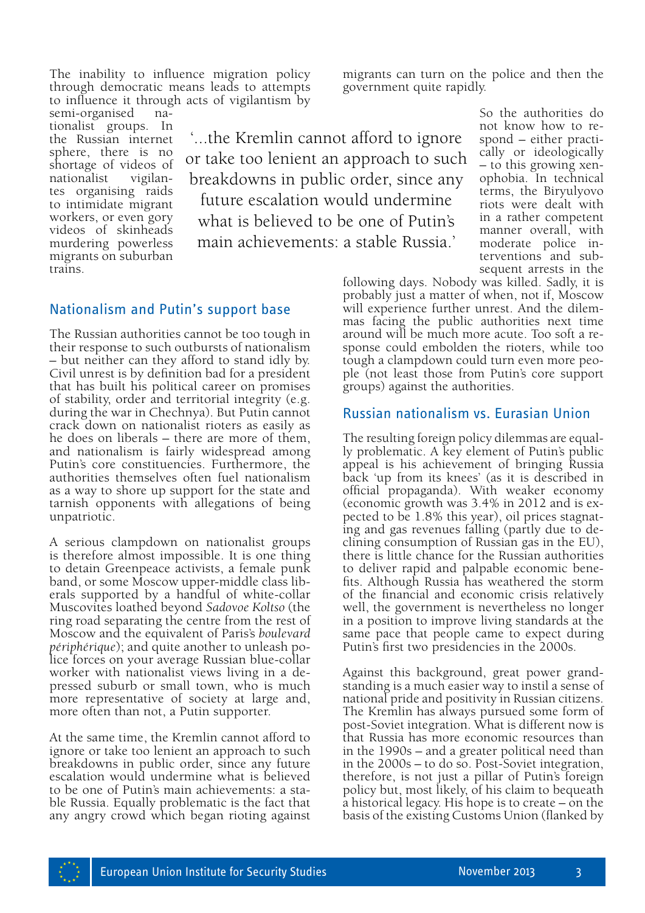The inability to influence migration policy through democratic means leads to attempts to influence it through acts of vigilantism by

semi-organised nationalist groups. In the Russian internet sphere, there is no shortage of videos of nationalist vigilantes organising raids to intimidate migrant workers, or even gory videos of skinheads murdering powerless migrants on suburban trains.

'...the Kremlin cannot afford to ignore or take too lenient an approach to such breakdowns in public order, since any future escalation would undermine what is believed to be one of Putin's main achievements: a stable Russia.'

#### Nationalism and Putin's support base

The Russian authorities cannot be too tough in their response to such outbursts of nationalism – but neither can they afford to stand idly by. Civil unrest is by definition bad for a president that has built his political career on promises of stability, order and territorial integrity (e.g. during the war in Chechnya). But Putin cannot crack down on nationalist rioters as easily as he does on liberals – there are more of them, and nationalism is fairly widespread among Putin's core constituencies. Furthermore, the authorities themselves often fuel nationalism as a way to shore up support for the state and tarnish opponents with allegations of being unpatriotic.

A serious clampdown on nationalist groups is therefore almost impossible. It is one thing to detain Greenpeace activists, a female punk band, or some Moscow upper-middle class liberals supported by a handful of white-collar Muscovites loathed beyond *Sadovoe Koltso* (the ring road separating the centre from the rest of Moscow and the equivalent of Paris's *boulevard périphérique*); and quite another to unleash police forces on your average Russian blue-collar worker with nationalist views living in a depressed suburb or small town, who is much more representative of society at large and, more often than not, a Putin supporter.

At the same time, the Kremlin cannot afford to ignore or take too lenient an approach to such breakdowns in public order, since any future escalation would undermine what is believed to be one of Putin's main achievements: a stable Russia. Equally problematic is the fact that any angry crowd which began rioting against migrants can turn on the police and then the government quite rapidly.

> So the authorities do not know how to respond – either practically or ideologically – to this growing xenophobia. In technical terms, the Biryulyovo riots were dealt with in a rather competent manner overall, with moderate police interventions and subsequent arrests in the

following days. Nobody was killed. Sadly, it is probably just a matter of when, not if, Moscow will experience further unrest. And the dilemmas facing the public authorities next time around will be much more acute. Too soft a response could embolden the rioters, while too tough a clampdown could turn even more people (not least those from Putin's core support groups) against the authorities.

#### Russian nationalism vs. Eurasian Union

The resulting foreign policy dilemmas are equal- ly problematic. A key element of Putin's public appeal is his achievement of bringing Russia back 'up from its knees' (as it is described in official propaganda). With weaker economy (economic growth was 3.4% in 2012 and is ex- pected to be 1.8% this year), oil prices stagnat- ing and gas revenues falling (partly due to de- clining consumption of Russian gas in the EU), there is little chance for the Russian authorities to deliver rapid and palpable economic bene- fits. Although Russia has weathered the storm of the financial and economic crisis relatively well, the government is nevertheless no longer in a position to improve living standards at the same pace that people came to expect during Putin's first two presidencies in the 2000s.

Against this background, great power grandstanding is a much easier way to instil a sense of national pride and positivity in Russian citizens. The Kremlin has always pursued some form of post-Soviet integration. What is different now is that Russia has more economic resources than in the 1990s – and a greater political need than in the 2000s – to do so. Post-Soviet integration, therefore, is not just a pillar of Putin's foreign policy but, most likely, of his claim to bequeath a historical legacy. His hope is to create – on the basis of the existing Customs Union (flanked by